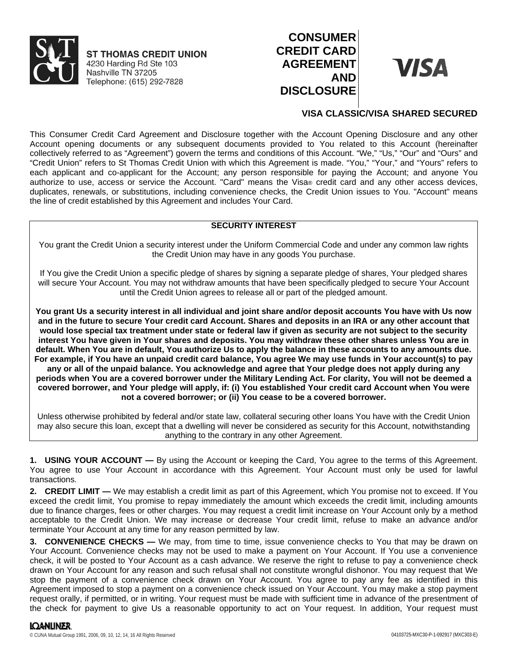

**ST THOMAS CREDIT UNION** 4230 Harding Rd Ste 103 Nashville TN 37205 Telephone: (615) 292-7828

# **CONSUMER CREDIT CARD AGREEMENT AND DISCLOSURE**



## **VISA CLASSIC/VISA SHARED SECURED**

This Consumer Credit Card Agreement and Disclosure together with the Account Opening Disclosure and any other Account opening documents or any subsequent documents provided to You related to this Account (hereinafter collectively referred to as "Agreement") govern the terms and conditions of this Account. "We," "Us," "Our" and "Ours" and "Credit Union" refers to St Thomas Credit Union with which this Agreement is made. "You," "Your," and "Yours" refers to each applicant and co-applicant for the Account; any person responsible for paying the Account; and anyone You authorize to use, access or service the Account. "Card" means the Visa® credit card and any other access devices, duplicates, renewals, or substitutions, including convenience checks, the Credit Union issues to You. "Account" means the line of credit established by this Agreement and includes Your Card.

## **SECURITY INTEREST**

You grant the Credit Union a security interest under the Uniform Commercial Code and under any common law rights the Credit Union may have in any goods You purchase.

If You give the Credit Union a specific pledge of shares by signing a separate pledge of shares, Your pledged shares will secure Your Account. You may not withdraw amounts that have been specifically pledged to secure Your Account until the Credit Union agrees to release all or part of the pledged amount.

**You grant Us a security interest in all individual and joint share and/or deposit accounts You have with Us now and in the future to secure Your credit card Account. Shares and deposits in an IRA or any other account that would lose special tax treatment under state or federal law if given as security are not subject to the security interest You have given in Your shares and deposits. You may withdraw these other shares unless You are in default. When You are in default, You authorize Us to apply the balance in these accounts to any amounts due. For example, if You have an unpaid credit card balance, You agree We may use funds in Your account(s) to pay any or all of the unpaid balance. You acknowledge and agree that Your pledge does not apply during any periods when You are a covered borrower under the Military Lending Act. For clarity, You will not be deemed a covered borrower, and Your pledge will apply, if: (i) You established Your credit card Account when You were not a covered borrower; or (ii) You cease to be a covered borrower.**

Unless otherwise prohibited by federal and/or state law, collateral securing other loans You have with the Credit Union may also secure this loan, except that a dwelling will never be considered as security for this Account, notwithstanding anything to the contrary in any other Agreement.

**1. USING YOUR ACCOUNT —** By using the Account or keeping the Card, You agree to the terms of this Agreement. You agree to use Your Account in accordance with this Agreement. Your Account must only be used for lawful transactions.

**2. CREDIT LIMIT —** We may establish a credit limit as part of this Agreement, which You promise not to exceed. If You exceed the credit limit, You promise to repay immediately the amount which exceeds the credit limit, including amounts due to finance charges, fees or other charges. You may request a credit limit increase on Your Account only by a method acceptable to the Credit Union. We may increase or decrease Your credit limit, refuse to make an advance and/or terminate Your Account at any time for any reason permitted by law.

**3. CONVENIENCE CHECKS —** We may, from time to time, issue convenience checks to You that may be drawn on Your Account. Convenience checks may not be used to make a payment on Your Account. If You use a convenience check, it will be posted to Your Account as a cash advance. We reserve the right to refuse to pay a convenience check drawn on Your Account for any reason and such refusal shall not constitute wrongful dishonor. You may request that We stop the payment of a convenience check drawn on Your Account. You agree to pay any fee as identified in this Agreement imposed to stop a payment on a convenience check issued on Your Account. You may make a stop payment request orally, if permitted, or in writing. Your request must be made with sufficient time in advance of the presentment of the check for payment to give Us a reasonable opportunity to act on Your request. In addition, Your request must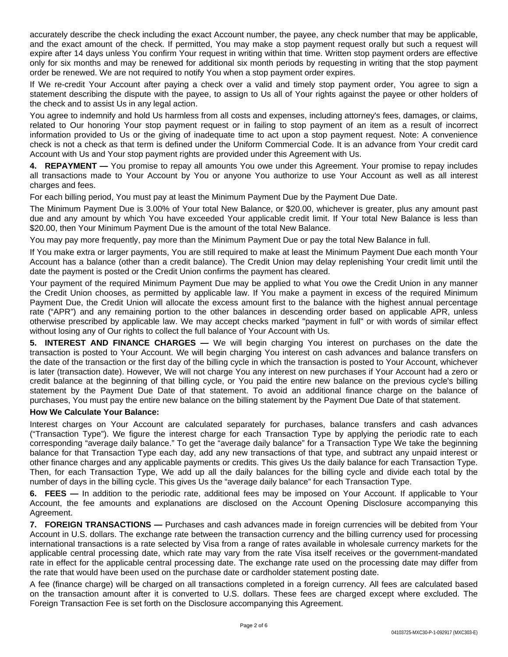accurately describe the check including the exact Account number, the payee, any check number that may be applicable, and the exact amount of the check. If permitted, You may make a stop payment request orally but such a request will expire after 14 days unless You confirm Your request in writing within that time. Written stop payment orders are effective only for six months and may be renewed for additional six month periods by requesting in writing that the stop payment order be renewed. We are not required to notify You when a stop payment order expires.

If We re-credit Your Account after paying a check over a valid and timely stop payment order, You agree to sign a statement describing the dispute with the payee, to assign to Us all of Your rights against the payee or other holders of the check and to assist Us in any legal action.

You agree to indemnify and hold Us harmless from all costs and expenses, including attorney's fees, damages, or claims, related to Our honoring Your stop payment request or in failing to stop payment of an item as a result of incorrect information provided to Us or the giving of inadequate time to act upon a stop payment request. Note: A convenience check is not a check as that term is defined under the Uniform Commercial Code. It is an advance from Your credit card Account with Us and Your stop payment rights are provided under this Agreement with Us.

**4. REPAYMENT —** You promise to repay all amounts You owe under this Agreement. Your promise to repay includes all transactions made to Your Account by You or anyone You authorize to use Your Account as well as all interest charges and fees.

For each billing period, You must pay at least the Minimum Payment Due by the Payment Due Date.

The Minimum Payment Due is 3.00% of Your total New Balance, or \$20.00, whichever is greater, plus any amount past due and any amount by which You have exceeded Your applicable credit limit. If Your total New Balance is less than \$20.00, then Your Minimum Payment Due is the amount of the total New Balance.

You may pay more frequently, pay more than the Minimum Payment Due or pay the total New Balance in full.

If You make extra or larger payments, You are still required to make at least the Minimum Payment Due each month Your Account has a balance (other than a credit balance). The Credit Union may delay replenishing Your credit limit until the date the payment is posted or the Credit Union confirms the payment has cleared.

Your payment of the required Minimum Payment Due may be applied to what You owe the Credit Union in any manner the Credit Union chooses, as permitted by applicable law. If You make a payment in excess of the required Minimum Payment Due, the Credit Union will allocate the excess amount first to the balance with the highest annual percentage rate ("APR") and any remaining portion to the other balances in descending order based on applicable APR, unless otherwise prescribed by applicable law. We may accept checks marked "payment in full" or with words of similar effect without losing any of Our rights to collect the full balance of Your Account with Us.

**5. INTEREST AND FINANCE CHARGES —** We will begin charging You interest on purchases on the date the transaction is posted to Your Account. We will begin charging You interest on cash advances and balance transfers on the date of the transaction or the first day of the billing cycle in which the transaction is posted to Your Account, whichever is later (transaction date). However, We will not charge You any interest on new purchases if Your Account had a zero or credit balance at the beginning of that billing cycle, or You paid the entire new balance on the previous cycle's billing statement by the Payment Due Date of that statement. To avoid an additional finance charge on the balance of purchases, You must pay the entire new balance on the billing statement by the Payment Due Date of that statement.

## **How We Calculate Your Balance:**

Interest charges on Your Account are calculated separately for purchases, balance transfers and cash advances ("Transaction Type"). We figure the interest charge for each Transaction Type by applying the periodic rate to each corresponding "average daily balance." To get the "average daily balance" for a Transaction Type We take the beginning balance for that Transaction Type each day, add any new transactions of that type, and subtract any unpaid interest or other finance charges and any applicable payments or credits. This gives Us the daily balance for each Transaction Type. Then, for each Transaction Type, We add up all the daily balances for the billing cycle and divide each total by the number of days in the billing cycle. This gives Us the "average daily balance" for each Transaction Type.

**6. FEES —** In addition to the periodic rate, additional fees may be imposed on Your Account. If applicable to Your Account, the fee amounts and explanations are disclosed on the Account Opening Disclosure accompanying this Agreement.

**7. FOREIGN TRANSACTIONS —** Purchases and cash advances made in foreign currencies will be debited from Your Account in U.S. dollars. The exchange rate between the transaction currency and the billing currency used for processing international transactions is a rate selected by Visa from a range of rates available in wholesale currency markets for the applicable central processing date, which rate may vary from the rate Visa itself receives or the government-mandated rate in effect for the applicable central processing date. The exchange rate used on the processing date may differ from the rate that would have been used on the purchase date or cardholder statement posting date.

A fee (finance charge) will be charged on all transactions completed in a foreign currency. All fees are calculated based on the transaction amount after it is converted to U.S. dollars. These fees are charged except where excluded. The Foreign Transaction Fee is set forth on the Disclosure accompanying this Agreement.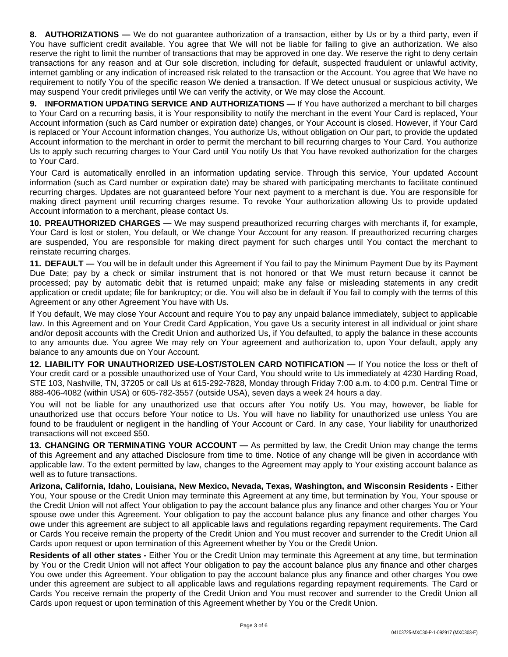**8. AUTHORIZATIONS —** We do not guarantee authorization of a transaction, either by Us or by a third party, even if You have sufficient credit available. You agree that We will not be liable for failing to give an authorization. We also reserve the right to limit the number of transactions that may be approved in one day. We reserve the right to deny certain transactions for any reason and at Our sole discretion, including for default, suspected fraudulent or unlawful activity, internet gambling or any indication of increased risk related to the transaction or the Account. You agree that We have no requirement to notify You of the specific reason We denied a transaction. If We detect unusual or suspicious activity, We may suspend Your credit privileges until We can verify the activity, or We may close the Account.

**9. INFORMATION UPDATING SERVICE AND AUTHORIZATIONS —** If You have authorized a merchant to bill charges to Your Card on a recurring basis, it is Your responsibility to notify the merchant in the event Your Card is replaced, Your Account information (such as Card number or expiration date) changes, or Your Account is closed. However, if Your Card is replaced or Your Account information changes, You authorize Us, without obligation on Our part, to provide the updated Account information to the merchant in order to permit the merchant to bill recurring charges to Your Card. You authorize Us to apply such recurring charges to Your Card until You notify Us that You have revoked authorization for the charges to Your Card.

Your Card is automatically enrolled in an information updating service. Through this service, Your updated Account information (such as Card number or expiration date) may be shared with participating merchants to facilitate continued recurring charges. Updates are not guaranteed before Your next payment to a merchant is due. You are responsible for making direct payment until recurring charges resume. To revoke Your authorization allowing Us to provide updated Account information to a merchant, please contact Us.

**10. PREAUTHORIZED CHARGES —** We may suspend preauthorized recurring charges with merchants if, for example, Your Card is lost or stolen, You default, or We change Your Account for any reason. If preauthorized recurring charges are suspended, You are responsible for making direct payment for such charges until You contact the merchant to reinstate recurring charges.

**11. DEFAULT —** You will be in default under this Agreement if You fail to pay the Minimum Payment Due by its Payment Due Date; pay by a check or similar instrument that is not honored or that We must return because it cannot be processed; pay by automatic debit that is returned unpaid; make any false or misleading statements in any credit application or credit update; file for bankruptcy; or die. You will also be in default if You fail to comply with the terms of this Agreement or any other Agreement You have with Us.

If You default, We may close Your Account and require You to pay any unpaid balance immediately, subject to applicable law. In this Agreement and on Your Credit Card Application, You gave Us a security interest in all individual or joint share and/or deposit accounts with the Credit Union and authorized Us, if You defaulted, to apply the balance in these accounts to any amounts due. You agree We may rely on Your agreement and authorization to, upon Your default, apply any balance to any amounts due on Your Account.

**12. LIABILITY FOR UNAUTHORIZED USE-LOST/STOLEN CARD NOTIFICATION —** If You notice the loss or theft of Your credit card or a possible unauthorized use of Your Card, You should write to Us immediately at 4230 Harding Road, STE 103, Nashville, TN, 37205 or call Us at 615-292-7828, Monday through Friday 7:00 a.m. to 4:00 p.m. Central Time or 888-406-4082 (within USA) or 605-782-3557 (outside USA), seven days a week 24 hours a day.

You will not be liable for any unauthorized use that occurs after You notify Us. You may, however, be liable for unauthorized use that occurs before Your notice to Us. You will have no liability for unauthorized use unless You are found to be fraudulent or negligent in the handling of Your Account or Card. In any case, Your liability for unauthorized transactions will not exceed \$50.

**13. CHANGING OR TERMINATING YOUR ACCOUNT —** As permitted by law, the Credit Union may change the terms of this Agreement and any attached Disclosure from time to time. Notice of any change will be given in accordance with applicable law. To the extent permitted by law, changes to the Agreement may apply to Your existing account balance as well as to future transactions.

**Arizona, California, Idaho, Louisiana, New Mexico, Nevada, Texas, Washington, and Wisconsin Residents -** Either You, Your spouse or the Credit Union may terminate this Agreement at any time, but termination by You, Your spouse or the Credit Union will not affect Your obligation to pay the account balance plus any finance and other charges You or Your spouse owe under this Agreement. Your obligation to pay the account balance plus any finance and other charges You owe under this agreement are subject to all applicable laws and regulations regarding repayment requirements. The Card or Cards You receive remain the property of the Credit Union and You must recover and surrender to the Credit Union all Cards upon request or upon termination of this Agreement whether by You or the Credit Union.

**Residents of all other states -** Either You or the Credit Union may terminate this Agreement at any time, but termination by You or the Credit Union will not affect Your obligation to pay the account balance plus any finance and other charges You owe under this Agreement. Your obligation to pay the account balance plus any finance and other charges You owe under this agreement are subject to all applicable laws and regulations regarding repayment requirements. The Card or Cards You receive remain the property of the Credit Union and You must recover and surrender to the Credit Union all Cards upon request or upon termination of this Agreement whether by You or the Credit Union.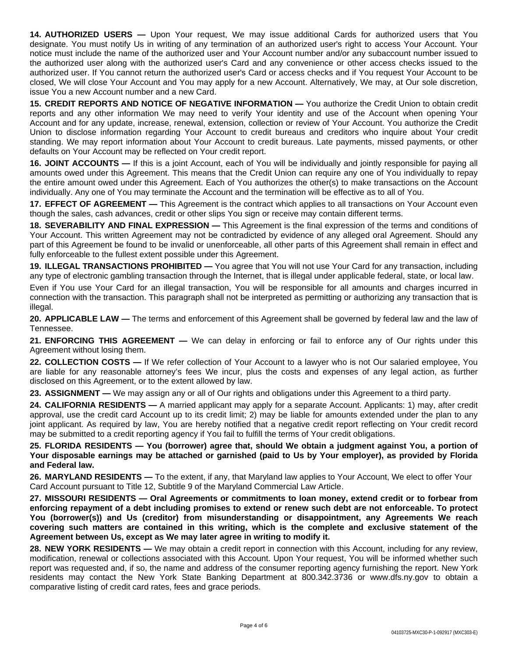**14. AUTHORIZED USERS —** Upon Your request, We may issue additional Cards for authorized users that You designate. You must notify Us in writing of any termination of an authorized user's right to access Your Account. Your notice must include the name of the authorized user and Your Account number and/or any subaccount number issued to the authorized user along with the authorized user's Card and any convenience or other access checks issued to the authorized user. If You cannot return the authorized user's Card or access checks and if You request Your Account to be closed, We will close Your Account and You may apply for a new Account. Alternatively, We may, at Our sole discretion, issue You a new Account number and a new Card.

**15. CREDIT REPORTS AND NOTICE OF NEGATIVE INFORMATION —** You authorize the Credit Union to obtain credit reports and any other information We may need to verify Your identity and use of the Account when opening Your Account and for any update, increase, renewal, extension, collection or review of Your Account. You authorize the Credit Union to disclose information regarding Your Account to credit bureaus and creditors who inquire about Your credit standing. We may report information about Your Account to credit bureaus. Late payments, missed payments, or other defaults on Your Account may be reflected on Your credit report.

**16. JOINT ACCOUNTS —** If this is a joint Account, each of You will be individually and jointly responsible for paying all amounts owed under this Agreement. This means that the Credit Union can require any one of You individually to repay the entire amount owed under this Agreement. Each of You authorizes the other(s) to make transactions on the Account individually. Any one of You may terminate the Account and the termination will be effective as to all of You.

**17. EFFECT OF AGREEMENT —** This Agreement is the contract which applies to all transactions on Your Account even though the sales, cash advances, credit or other slips You sign or receive may contain different terms.

**18. SEVERABILITY AND FINAL EXPRESSION —** This Agreement is the final expression of the terms and conditions of Your Account. This written Agreement may not be contradicted by evidence of any alleged oral Agreement. Should any part of this Agreement be found to be invalid or unenforceable, all other parts of this Agreement shall remain in effect and fully enforceable to the fullest extent possible under this Agreement.

**19. ILLEGAL TRANSACTIONS PROHIBITED —** You agree that You will not use Your Card for any transaction, including any type of electronic gambling transaction through the Internet, that is illegal under applicable federal, state, or local law.

Even if You use Your Card for an illegal transaction, You will be responsible for all amounts and charges incurred in connection with the transaction. This paragraph shall not be interpreted as permitting or authorizing any transaction that is illegal.

**20. APPLICABLE LAW —** The terms and enforcement of this Agreement shall be governed by federal law and the law of Tennessee.

**21. ENFORCING THIS AGREEMENT —** We can delay in enforcing or fail to enforce any of Our rights under this Agreement without losing them.

**22. COLLECTION COSTS —** If We refer collection of Your Account to a lawyer who is not Our salaried employee, You are liable for any reasonable attorney's fees We incur, plus the costs and expenses of any legal action, as further disclosed on this Agreement, or to the extent allowed by law.

**23. ASSIGNMENT —** We may assign any or all of Our rights and obligations under this Agreement to a third party.

**24. CALIFORNIA RESIDENTS —** A married applicant may apply for a separate Account. Applicants: 1) may, after credit approval, use the credit card Account up to its credit limit; 2) may be liable for amounts extended under the plan to any joint applicant. As required by law, You are hereby notified that a negative credit report reflecting on Your credit record may be submitted to a credit reporting agency if You fail to fulfill the terms of Your credit obligations.

25. FLORIDA RESIDENTS - You (borrower) agree that, should We obtain a judgment against You, a portion of Your disposable earnings may be attached or garnished (paid to Us by Your employer), as provided by Florida **and Federal law.**

**26. MARYLAND RESIDENTS —** To the extent, if any, that Maryland law applies to Your Account, We elect to offer Your Card Account pursuant to Title 12, Subtitle 9 of the Maryland Commercial Law Article.

**27. MISSOURI RESIDENTS — Oral Agreements or commitments to loan money, extend credit or to forbear from** enforcing repayment of a debt including promises to extend or renew such debt are not enforceable. To protect **You (borrower(s)) and Us (creditor) from misunderstanding or disappointment, any Agreements We reach covering such matters are contained in this writing, which is the complete and exclusive statement of the Agreement between Us, except as We may later agree in writing to modify it.**

**28. NEW YORK RESIDENTS —** We may obtain a credit report in connection with this Account, including for any review, modification, renewal or collections associated with this Account. Upon Your request, You will be informed whether such report was requested and, if so, the name and address of the consumer reporting agency furnishing the report. New York residents may contact the New York State Banking Department at 800.342.3736 or www.dfs.ny.gov to obtain a comparative listing of credit card rates, fees and grace periods.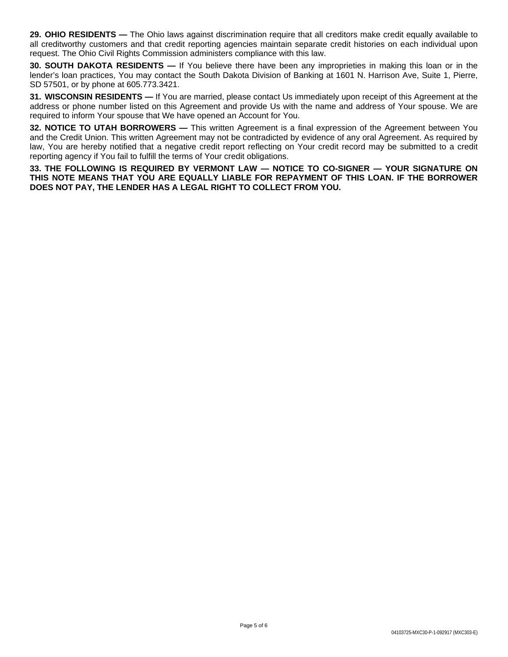**29. OHIO RESIDENTS —** The Ohio laws against discrimination require that all creditors make credit equally available to all creditworthy customers and that credit reporting agencies maintain separate credit histories on each individual upon request. The Ohio Civil Rights Commission administers compliance with this law.

**30. SOUTH DAKOTA RESIDENTS —** If You believe there have been any improprieties in making this loan or in the lender's loan practices, You may contact the South Dakota Division of Banking at 1601 N. Harrison Ave, Suite 1, Pierre, SD 57501, or by phone at 605.773.3421.

**31. WISCONSIN RESIDENTS —** If You are married, please contact Us immediately upon receipt of this Agreement at the address or phone number listed on this Agreement and provide Us with the name and address of Your spouse. We are required to inform Your spouse that We have opened an Account for You.

**32. NOTICE TO UTAH BORROWERS —** This written Agreement is a final expression of the Agreement between You and the Credit Union. This written Agreement may not be contradicted by evidence of any oral Agreement. As required by law, You are hereby notified that a negative credit report reflecting on Your credit record may be submitted to a credit reporting agency if You fail to fulfill the terms of Your credit obligations.

**33. THE FOLLOWING IS REQUIRED BY VERMONT LAW — NOTICE TO CO-SIGNER — YOUR SIGNATURE ON THIS NOTE MEANS THAT YOU ARE EQUALLY LIABLE FOR REPAYMENT OF THIS LOAN. IF THE BORROWER DOES NOT PAY, THE LENDER HAS A LEGAL RIGHT TO COLLECT FROM YOU.**